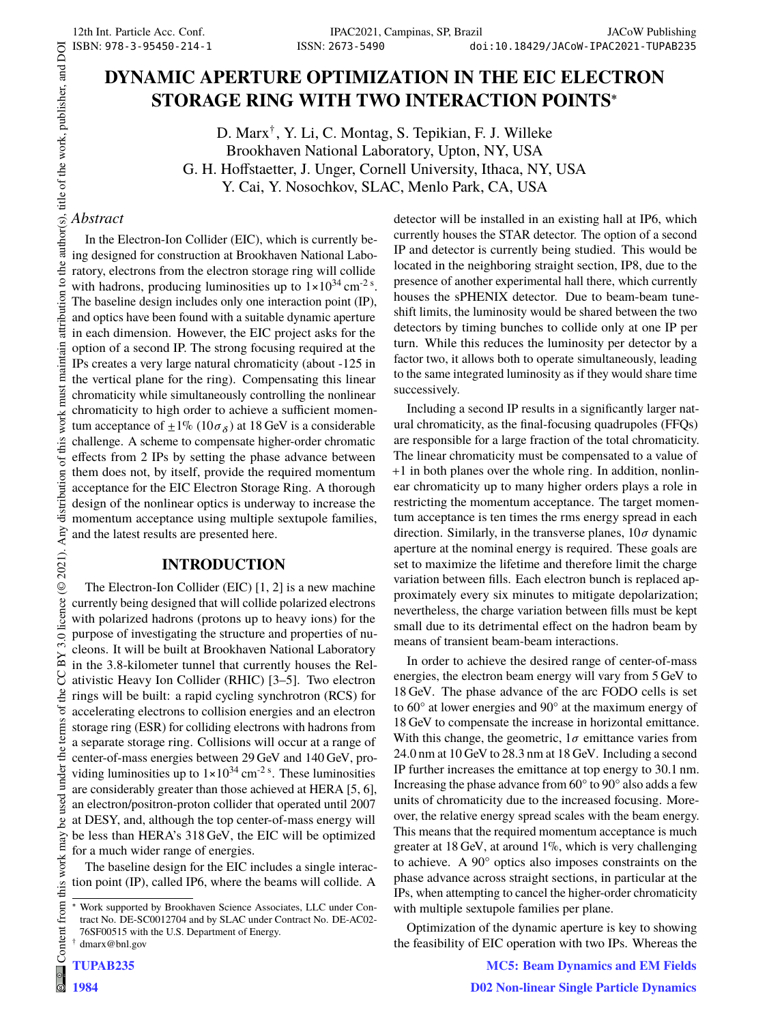# **DYNAMIC APERTURE OPTIMIZATION IN THE EIC ELECTRON STORAGE RING WITH TWO INTERACTION POINTS**<sup>∗</sup>

D. Marx† , Y. Li, C. Montag, S. Tepikian, F. J. Willeke Brookhaven National Laboratory, Upton, NY, USA G. H. Hoffstaetter, J. Unger, Cornell University, Ithaca, NY, USA Y. Cai, Y. Nosochkov, SLAC, Menlo Park, CA, USA

## *Abstract*

In the Electron-Ion Collider (EIC), which is currently being designed for construction at Brookhaven National Laboratory, electrons from the electron storage ring will collide with hadrons, producing luminosities up to  $1 \times 10^{34}$  cm<sup>-2 s</sup>. The baseline design includes only one interaction point (IP), and optics have been found with a suitable dynamic aperture in each dimension. However, the EIC project asks for the option of a second IP. The strong focusing required at the IPs creates a very large natural chromaticity (about -125 in the vertical plane for the ring). Compensating this linear chromaticity while simultaneously controlling the nonlinear chromaticity to high order to achieve a sufficient momentum acceptance of  $\pm 1\%$  (10 $\sigma_{\delta}$ ) at 18 GeV is a considerable challenge. A scheme to compensate higher-order chromatic effects from 2 IPs by setting the phase advance between them does not, by itself, provide the required momentum acceptance for the EIC Electron Storage Ring. A thorough design of the nonlinear optics is underway to increase the momentum acceptance using multiple sextupole families, and the latest results are presented here.

## **INTRODUCTION**

The Electron-Ion Collider (EIC) [1, 2] is a new machine currently being designed that will collide polarized electrons with polarized hadrons (protons up to heavy ions) for the purpose of investigating the structure and properties of nucleons. It will be built at Brookhaven National Laboratory in the 3.8-kilometer tunnel that currently houses the Relativistic Heavy Ion Collider (RHIC) [3–5]. Two electron rings will be built: a rapid cycling synchrotron (RCS) for accelerating electrons to collision energies and an electron storage ring (ESR) for colliding electrons with hadrons from a separate storage ring. Collisions will occur at a range of center-of-mass energies between 29 GeV and 140 GeV, providing luminosities up to  $1 \times 10^{34}$  cm<sup>-2 s</sup>. These luminosities are considerably greater than those achieved at HERA [5, 6], an electron/positron-proton collider that operated until 2007 at DESY, and, although the top center-of-mass energy will be less than HERA's 318 GeV, the EIC will be optimized for a much wider range of energies.

The baseline design for the EIC includes a single interaction point (IP), called IP6, where the beams will collide. A

TUPAB235

detector will be installed in an existing hall at IP6, which currently houses the STAR detector. The option of a second IP and detector is currently being studied. This would be located in the neighboring straight section, IP8, due to the presence of another experimental hall there, which currently houses the sPHENIX detector. Due to beam-beam tuneshift limits, the luminosity would be shared between the two detectors by timing bunches to collide only at one IP per turn. While this reduces the luminosity per detector by a factor two, it allows both to operate simultaneously, leading to the same integrated luminosity as if they would share time successively.

Including a second IP results in a significantly larger natural chromaticity, as the final-focusing quadrupoles (FFQs) are responsible for a large fraction of the total chromaticity. The linear chromaticity must be compensated to a value of +1 in both planes over the whole ring. In addition, nonlinear chromaticity up to many higher orders plays a role in restricting the momentum acceptance. The target momentum acceptance is ten times the rms energy spread in each direction. Similarly, in the transverse planes,  $10\sigma$  dynamic aperture at the nominal energy is required. These goals are set to maximize the lifetime and therefore limit the charge variation between fills. Each electron bunch is replaced approximately every six minutes to mitigate depolarization; nevertheless, the charge variation between fills must be kept small due to its detrimental effect on the hadron beam by means of transient beam-beam interactions.

In order to achieve the desired range of center-of-mass energies, the electron beam energy will vary from 5 GeV to 18 GeV. The phase advance of the arc FODO cells is set to 60° at lower energies and 90° at the maximum energy of 18 GeV to compensate the increase in horizontal emittance. With this change, the geometric,  $1\sigma$  emittance varies from 24.0 nm at 10 GeV to 28.3 nm at 18 GeV. Including a second IP further increases the emittance at top energy to 30.1 nm. Increasing the phase advance from 60° to 90° also adds a few units of chromaticity due to the increased focusing. Moreover, the relative energy spread scales with the beam energy. This means that the required momentum acceptance is much greater at 18 GeV, at around 1%, which is very challenging to achieve. A 90° optics also imposes constraints on the phase advance across straight sections, in particular at the IPs, when attempting to cancel the higher-order chromaticity with multiple sextupole families per plane.

Optimization of the dynamic aperture is key to showing the feasibility of EIC operation with two IPs. Whereas the

MC5: Beam Dynamics and EM Fields

Work supported by Brookhaven Science Associates, LLC under Contract No. DE-SC0012704 and by SLAC under Contract No. DE-AC02- 76SF00515 with the U.S. Department of Energy. dmarx@bnl.gov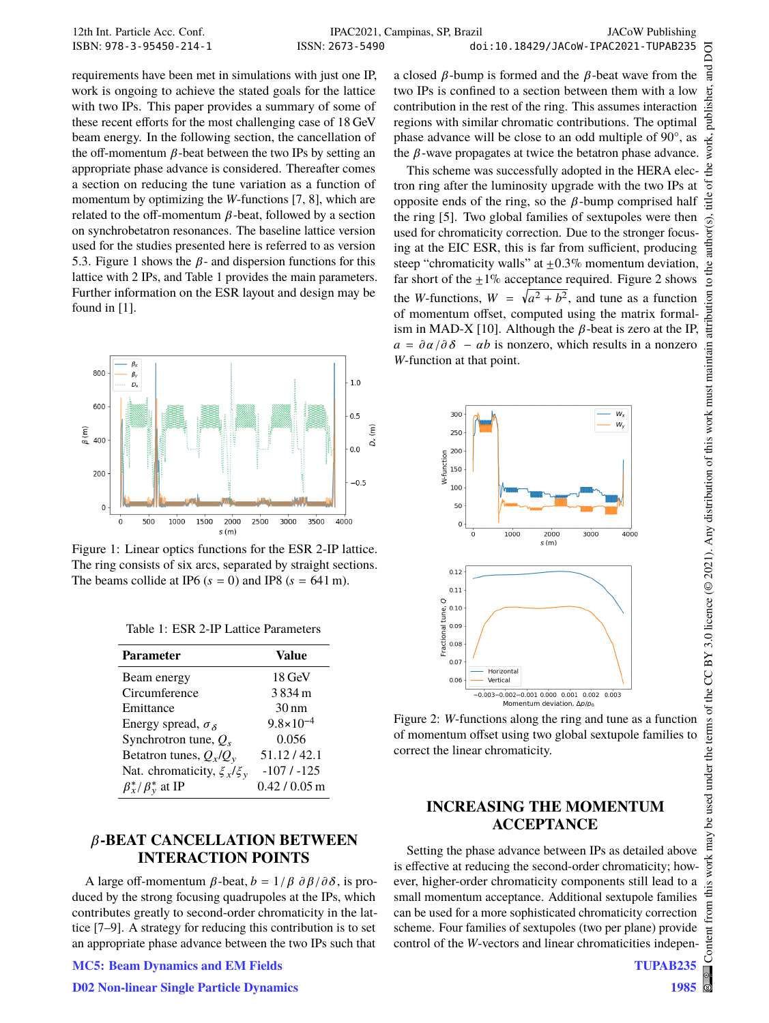requirements have been met in simulations with just one IP, work is ongoing to achieve the stated goals for the lattice with two IPs. This paper provides a summary of some of these recent efforts for the most challenging case of 18 GeV beam energy. In the following section, the cancellation of the off-momentum  $\beta$ -beat between the two IPs by setting an appropriate phase advance is considered. Thereafter comes a section on reducing the tune variation as a function of momentum by optimizing the W-functions  $[7, 8]$ , which are related to the off-momentum  $\beta$ -beat, followed by a section on synchrobetatron resonances. The baseline lattice version used for the studies presented here is referred to as version 5.3. Figure 1 shows the  $\beta$ - and dispersion functions for this lattice with 2 IPs, and Table 1 provides the main parameters. Further information on the ESR layout and design may be found in [1].



Figure 1: Linear optics functions for the ESR 2-IP lattice. The ring consists of six arcs, separated by straight sections. The beams collide at IP6 ( $s = 0$ ) and IP8 ( $s = 641$  m).

| Table 1: ESR 2-IP Lattice Parameters |  |
|--------------------------------------|--|
|--------------------------------------|--|

| <b>Parameter</b>                 | Value                |
|----------------------------------|----------------------|
| Beam energy                      | $18 \,\mathrm{GeV}$  |
| Circumference                    | 3834m                |
| Emittance                        | $30 \text{ nm}$      |
| Energy spread, $\sigma_s$        | $9.8 \times 10^{-4}$ |
| Synchrotron tune, $Q_s$          | 0.056                |
| Betatron tunes, $Q_x/Q_y$        | 51.12/42.1           |
| Nat. chromaticity, $\xi_x/\xi_y$ | $-107/ -125$         |
| $\beta_x^*/\beta_y^*$ at IP      | $0.42/0.05$ m        |

# **-BEAT CANCELLATION BETWEEN INTERACTION POINTS**

A large off-momentum  $\beta$ -beat,  $b = 1/\beta \frac{\partial \beta}{\partial \delta}$ , is produced by the strong focusing quadrupoles at the IPs, which contributes greatly to second-order chromaticity in the lattice [7–9]. A strategy for reducing this contribution is to set an appropriate phase advance between the two IPs such that

#### MC5: Beam Dynamics and EM Fields

ਰ<br>ਜ਼ a closed  $\beta$ -bump is formed and the  $\beta$ -beat wave from the ier. two IPs is confined to a section between them with a low publish contribution in the rest of the ring. This assumes interaction regions with similar chromatic contributions. The optimal work, phase advance will be close to an odd multiple of 90°, as the  $\beta$ -wave propagates at twice the betatron phase advance.

This scheme was successfully adopted in the HERA electron ring after the luminosity upgrade with the two IPs at opposite ends of the ring, so the  $\beta$ -bump comprised half the ring [5]. Two global families of sextupoles were then used for chromaticity correction. Due to the stronger focusing at the EIC ESR, this is far from sufficient, producing steep "chromaticity walls" at  $\pm 0.3\%$  momentum deviation, far short of the  $+1\%$  acceptance required. Figure 2 shows the W-functions,  $W = \sqrt{a^2 + b^2}$ , and tune as a function of momentum offset, computed using the matrix formalism in MAD-X [10]. Although the  $\beta$ -beat is zero at the IP,  $a = \partial \alpha / \partial \delta - \alpha b$  is nonzero, which results in a nonzero W-function at that point.



Figure 2: W-functions along the ring and tune as a function of momentum offset using two global sextupole families to correct the linear chromaticity.

# **INCREASING THE MOMENTUM ACCEPTANCE**

Setting the phase advance between IPs as detailed above is effective at reducing the second-order chromaticity; how-Setting the phase advance between IPs as detailed above<br>is effective at reducing the second-order chromaticity; how-<br>ever, higher-order chromaticity components still lead to a<br>small momentum acceptance. Additional sextunol small momentum acceptance. Additional sextupole families can be used for a more sophisticated chromaticity correction scheme. Four families of sextupoles (two per plane) provide control of the *W*-vectors and linear chromaticities indepen-

DOI

đ title

author(s).

to the a ion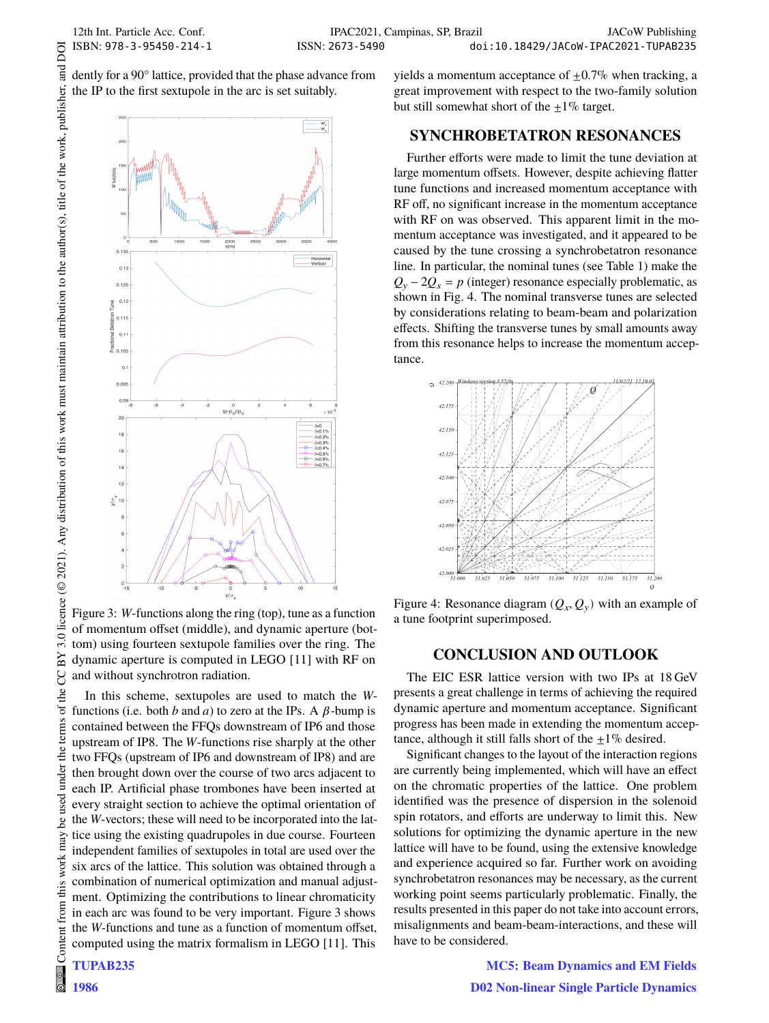DOI

dently for a 90° lattice, provided that the phase advance from the IP to the first sextupole in the arc is set suitably.



Figure 3: W-functions along the ring (top), tune as a function of momentum offset (middle), and dynamic aperture (bottom) using fourteen sextupole families over the ring. The dynamic aperture is computed in LEGO [11] with RF on and without synchrotron radiation.

In this scheme, sextupoles are used to match the  $W$ functions (i.e. both b and a) to zero at the IPs. A  $\beta$ -bump is contained between the FFQs downstream of IP6 and those upstream of IP8. The W-functions rise sharply at the other two FFQs (upstream of IP6 and downstream of IP8) and are then brought down over the course of two arcs adjacent to each IP. Artificial phase trombones have been inserted at every straight section to achieve the optimal orientation of the W-vectors; these will need to be incorporated into the lattice using the existing quadrupoles in due course. Fourteen independent families of sextupoles in total are used over the six arcs of the lattice. This solution was obtained through a combination of numerical optimization and manual adjustment. Optimizing the contributions to linear chromaticity in each arc was found to be very important. Figure 3 shows the  $W$ -functions and tune as a function of momentum offset, computed using the matrix formalism in LEGO [11]. This yields a momentum acceptance of  $\pm 0.7\%$  when tracking, a great improvement with respect to the two-family solution but still somewhat short of the  $+1\%$  target.

#### **SYNCHROBETATRON RESONANCES**

Further efforts were made to limit the tune deviation at large momentum offsets. However, despite achieving flatter tune functions and increased momentum acceptance with RF off, no significant increase in the momentum acceptance with RF on was observed. This apparent limit in the momentum acceptance was investigated, and it appeared to be caused by the tune crossing a synchrobetatron resonance line. In particular, the nominal tunes (see Table 1) make the  $Q_v - 2Q_s = p$  (integer) resonance especially problematic, as shown in Fig. 4. The nominal transverse tunes are selected by considerations relating to beam-beam and polarization effects. Shifting the transverse tunes by small amounts away from this resonance helps to increase the momentum acceptance.



Figure 4: Resonance diagram  $(Q_x, Q_y)$  with an example of a tune footprint superimposed.

#### **CONCLUSION AND OUTLOOK**

The EIC ESR lattice version with two IPs at 18 GeV presents a great challenge in terms of achieving the required dynamic aperture and momentum acceptance. Significant progress has been made in extending the momentum acceptance, although it still falls short of the  $+1\%$  desired.

Significant changes to the layout of the interaction regions are currently being implemented, which will have an effect on the chromatic properties of the lattice. One problem identified was the presence of dispersion in the solenoid spin rotators, and efforts are underway to limit this. New solutions for optimizing the dynamic aperture in the new lattice will have to be found, using the extensive knowledge and experience acquired so far. Further work on avoiding synchrobetatron resonances may be necessary, as the current working point seems particularly problematic. Finally, the results presented in this paper do not take into account errors, misalignments and beam-beam-interactions, and these will have to be considered.

> MC5: Beam Dynamics and EM Fields D02 Non-linear Single Particle Dynamics